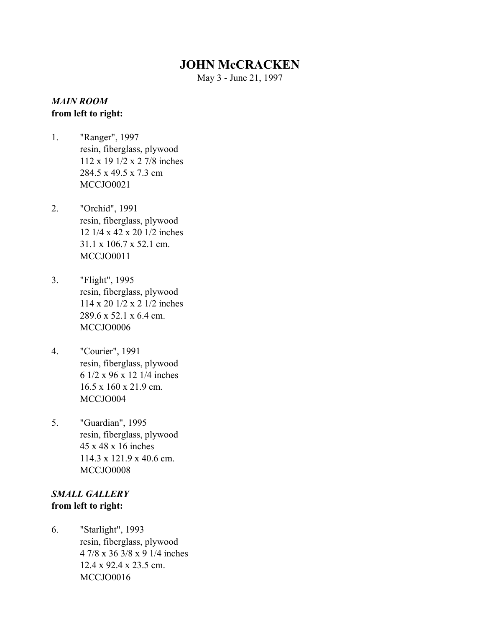# **JOHN McCRACKEN**

May 3 - June 21, 1997

#### *MAIN ROOM* **from left to right:**

- 1. "Ranger", 1997 resin, fiberglass, plywood 112 x 19 1/2 x 2 7/8 inches 284.5 x 49.5 x 7.3 cm MCCJO0021
- 2. "Orchid", 1991 resin, fiberglass, plywood 12 1/4 x 42 x 20 1/2 inches 31.1 x 106.7 x 52.1 cm. MCCJO0011
- 3. "Flight", 1995 resin, fiberglass, plywood 114 x 20 1/2 x 2 1/2 inches 289.6 x 52.1 x 6.4 cm. MCCJO0006
- 4. "Courier", 1991 resin, fiberglass, plywood 6 1/2 x 96 x 12 1/4 inches 16.5 x 160 x 21.9 cm. MCCJO004
- 5. "Guardian", 1995 resin, fiberglass, plywood 45 x 48 x 16 inches 114.3 x 121.9 x 40.6 cm. MCCJO0008

### *SMALL GALLERY* **from left to right:**

6. "Starlight", 1993 resin, fiberglass, plywood 4 7/8 x 36 3/8 x 9 1/4 inches 12.4 x 92.4 x 23.5 cm. MCCJO0016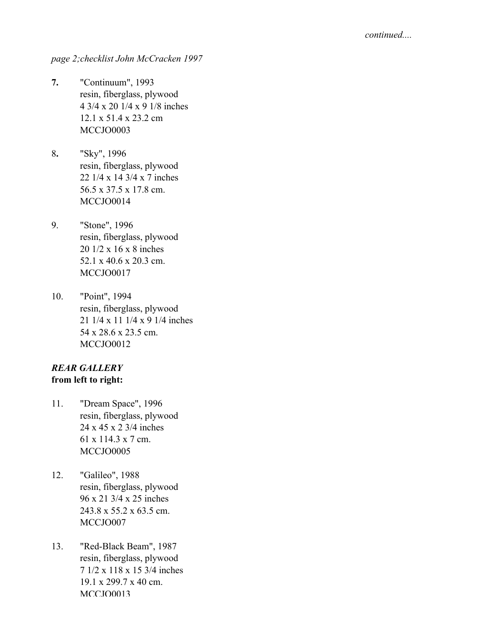*page 2;checklist John McCracken 1997*

- **7.** "Continuum", 1993 resin, fiberglass, plywood 4 3/4 x 20 1/4 x 9 1/8 inches 12.1 x 51.4 x 23.2 cm MCCJO0003
- 8**.** "Sky", 1996 resin, fiberglass, plywood 22 1/4 x 14 3/4 x 7 inches 56.5 x 37.5 x 17.8 cm. MCCJO0014
- 9. "Stone", 1996 resin, fiberglass, plywood 20 1/2 x 16 x 8 inches 52.1 x 40.6 x 20.3 cm. MCCJO0017
- 10. "Point", 1994 resin, fiberglass, plywood 21 1/4 x 11 1/4 x 9 1/4 inches 54 x 28.6 x 23.5 cm. MCCJO0012

## *REAR GALLERY* **from left to right:**

- 11. "Dream Space", 1996 resin, fiberglass, plywood 24 x 45 x 2 3/4 inches 61 x 114.3 x 7 cm. MCCJO0005
- 12. "Galileo", 1988 resin, fiberglass, plywood 96 x 21 3/4 x 25 inches 243.8 x 55.2 x 63.5 cm. MCCJO007
- 13. "Red-Black Beam", 1987 resin, fiberglass, plywood 7 1/2 x 118 x 15 3/4 inches 19.1 x 299.7 x 40 cm. MCCJO0013